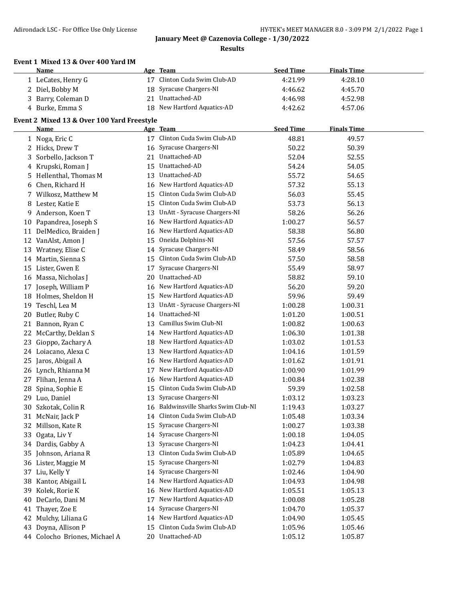**Results**

| Event 1 Mixed 13 & Over 400 Yard IM |  |  |  |  |  |  |
|-------------------------------------|--|--|--|--|--|--|
|-------------------------------------|--|--|--|--|--|--|

|    | <b>Name</b>                                |    | Age Team                             | <b>Seed Time</b> | <b>Finals Time</b> |  |
|----|--------------------------------------------|----|--------------------------------------|------------------|--------------------|--|
|    | 1 LeCates, Henry G                         |    | 17 Clinton Cuda Swim Club-AD         | 4:21.99          | 4:28.10            |  |
|    | 2 Diel, Bobby M                            | 18 | Syracuse Chargers-NI                 | 4:46.62          | 4:45.70            |  |
|    | 3 Barry, Coleman D                         |    | 21 Unattached-AD                     | 4:46.98          | 4:52.98            |  |
|    | 4 Burke, Emma S                            |    | 18 New Hartford Aquatics-AD          | 4:42.62          | 4:57.06            |  |
|    | Event 2 Mixed 13 & Over 100 Yard Freestyle |    |                                      |                  |                    |  |
|    | <b>Name</b>                                |    | Age Team                             | <b>Seed Time</b> | <b>Finals Time</b> |  |
|    | 1 Noga, Eric C                             |    | 17 Clinton Cuda Swim Club-AD         | 48.81            | 49.57              |  |
|    | 2 Hicks, Drew T                            |    | 16 Syracuse Chargers-NI              | 50.22            | 50.39              |  |
|    | 3 Sorbello, Jackson T                      |    | 21 Unattached-AD                     | 52.04            | 52.55              |  |
|    | 4 Krupski, Roman J                         |    | 15 Unattached-AD                     | 54.24            | 54.05              |  |
|    | 5 Hellenthal, Thomas M                     |    | 13 Unattached-AD                     | 55.72            | 54.65              |  |
| 6  | Chen, Richard H                            |    | 16 New Hartford Aquatics-AD          | 57.32            | 55.13              |  |
|    | 7 Wilkosz, Matthew M                       |    | 15 Clinton Cuda Swim Club-AD         | 56.03            | 55.45              |  |
|    | 8 Lester, Katie E                          |    | 15 Clinton Cuda Swim Club-AD         | 53.73            | 56.13              |  |
| 9  | Anderson, Koen T                           | 13 | UnAtt - Syracuse Chargers-NI         | 58.26            | 56.26              |  |
| 10 | Papandrea, Joseph S                        | 16 | New Hartford Aquatics-AD             | 1:00.27          | 56.57              |  |
|    | 11 DelMedico, Braiden J                    | 16 | New Hartford Aquatics-AD             | 58.38            | 56.80              |  |
|    | 12 VanAlst, Amon J                         | 15 | Oneida Dolphins-NI                   | 57.56            | 57.57              |  |
| 13 | Wratney, Elise C                           | 14 | Syracuse Chargers-NI                 | 58.49            | 58.56              |  |
|    | 14 Martin, Sienna S                        | 15 | Clinton Cuda Swim Club-AD            | 57.50            | 58.58              |  |
| 15 | Lister, Gwen E                             | 17 | Syracuse Chargers-NI                 | 55.49            | 58.97              |  |
|    | 16 Massa, Nicholas J                       | 20 | Unattached-AD                        | 58.82            | 59.10              |  |
| 17 | Joseph, William P                          | 16 | New Hartford Aquatics-AD             | 56.20            | 59.20              |  |
|    | 18 Holmes, Sheldon H                       |    | 15 New Hartford Aquatics-AD          | 59.96            | 59.49              |  |
| 19 | Teschl, Lea M                              | 13 | UnAtt - Syracuse Chargers-NI         | 1:00.28          | 1:00.31            |  |
| 20 | Butler, Ruby C                             |    | 14 Unattached-NI                     | 1:01.20          | 1:00.51            |  |
|    | 21 Bannon, Ryan C                          | 13 | Camillus Swim Club-NI                | 1:00.82          | 1:00.63            |  |
|    | 22 McCarthy, Deklan S                      |    | 14 New Hartford Aquatics-AD          | 1:06.30          | 1:01.38            |  |
| 23 | Gioppo, Zachary A                          |    | 18 New Hartford Aquatics-AD          | 1:03.02          | 1:01.53            |  |
|    | 24 Loiacano, Alexa C                       | 13 | New Hartford Aquatics-AD             | 1:04.16          | 1:01.59            |  |
|    | 25 Jaros, Abigail A                        |    | 16 New Hartford Aquatics-AD          | 1:01.62          | 1:01.91            |  |
|    | 26 Lynch, Rhianna M                        | 17 | New Hartford Aquatics-AD             | 1:00.90          | 1:01.99            |  |
|    | 27 Flihan, Jenna A                         | 16 | New Hartford Aquatics-AD             | 1:00.84          | 1:02.38            |  |
| 28 | Spina, Sophie E                            |    | 15 Clinton Cuda Swim Club-AD         | 59.39            | 1:02.58            |  |
|    | 29 Luo, Daniel                             |    | 13 Syracuse Chargers-NI              | 1:03.12          | 1:03.23            |  |
|    | 30 Szkotak, Colin R                        |    | 16 Baldwinsville Sharks Swim Club-NI | 1:19.43          | 1:03.27            |  |
|    | 31 McNair, Jack P                          |    | 14 Clinton Cuda Swim Club-AD         | 1:05.48          | 1:03.34            |  |
|    | 32 Millson, Kate R                         | 15 | Syracuse Chargers-NI                 | 1:00.27          | 1:03.38            |  |
|    | 33 Ogata, Liv Y                            | 14 | Syracuse Chargers-NI                 | 1:00.18          | 1:04.05            |  |
|    | 34 Dardis, Gabby A                         | 13 | Syracuse Chargers-NI                 | 1:04.23          | 1:04.41            |  |
| 35 | Johnson, Ariana R                          | 13 | Clinton Cuda Swim Club-AD            | 1:05.89          | 1:04.65            |  |
|    | 36 Lister, Maggie M                        | 15 | Syracuse Chargers-NI                 | 1:02.79          | 1:04.83            |  |
|    | 37 Liu, Kelly Y                            | 14 | Syracuse Chargers-NI                 | 1:02.46          | 1:04.90            |  |
| 38 | Kantor, Abigail L                          | 14 | New Hartford Aquatics-AD             | 1:04.93          | 1:04.98            |  |
| 39 | Kolek, Rorie K                             | 16 | New Hartford Aquatics-AD             | 1:05.51          | 1:05.13            |  |
| 40 | DeCarlo, Dani M                            | 17 | New Hartford Aquatics-AD             | 1:00.08          | 1:05.28            |  |
| 41 | Thayer, Zoe E                              | 14 | Syracuse Chargers-NI                 | 1:04.70          | 1:05.37            |  |
| 42 | Mulchy, Liliana G                          | 14 | New Hartford Aquatics-AD             | 1:04.90          | 1:05.45            |  |
| 43 | Doyna, Allison P                           | 15 | Clinton Cuda Swim Club-AD            | 1:05.96          | 1:05.46            |  |
|    | 44 Colocho Briones, Michael A              |    | 20 Unattached-AD                     | 1:05.12          | 1:05.87            |  |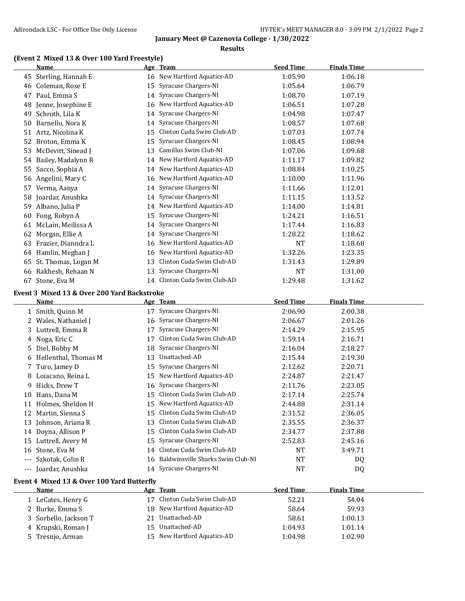### **Results**

## **(Event 2 Mixed 13 & Over 100 Yard Freestyle)**

|       | Name                                        |    | Age Team                          | <b>Seed Time</b> | <b>Finals Time</b> |  |
|-------|---------------------------------------------|----|-----------------------------------|------------------|--------------------|--|
|       | 45 Sterling, Hannah E                       |    | 16 New Hartford Aquatics-AD       | 1:05.90          | 1:06.18            |  |
| 46    | Coleman, Rose E                             | 15 | Syracuse Chargers-NI              | 1:05.64          | 1:06.79            |  |
|       | 47 Paul, Emma S                             | 14 | Syracuse Chargers-NI              | 1:08.70          | 1:07.19            |  |
|       | 48 Jenne, Josephine E                       | 16 | New Hartford Aquatics-AD          | 1:06.51          | 1:07.28            |  |
| 49    | Schroth, Lila K                             | 14 | Syracuse Chargers-NI              | 1:04.98          | 1:07.47            |  |
|       | 50 Barnello, Nora K                         | 14 | Syracuse Chargers-NI              | 1:08.57          | 1:07.68            |  |
|       | 51 Artz, Nicolina K                         | 15 | Clinton Cuda Swim Club-AD         | 1:07.03          | 1:07.74            |  |
|       | 52 Broton, Emma K                           | 15 | Syracuse Chargers-NI              | 1:08.45          | 1:08.94            |  |
|       | 53 McDevitt, Sinead J                       | 13 | Camillus Swim Club-NI             | 1:07.06          | 1:09.68            |  |
|       | 54 Bailey, Madalynn R                       | 14 | New Hartford Aquatics-AD          | 1:11.17          | 1:09.82            |  |
| 55    | Sacco, Sophia A                             | 14 | New Hartford Aquatics-AD          | 1:08.84          | 1:10.25            |  |
|       | 56 Angelini, Mary C                         | 16 | New Hartford Aquatics-AD          | 1:10.00          | 1:11.96            |  |
|       | 57 Verma, Aanya                             | 14 | Syracuse Chargers-NI              | 1:11.66          | 1:12.01            |  |
|       | 58 Joardar, Anushka                         | 14 | Syracuse Chargers-NI              | 1:11.15          | 1:13.52            |  |
|       | 59 Albano, Julia P                          | 14 | New Hartford Aquatics-AD          | 1:14.00          | 1:14.81            |  |
|       | 60 Fong, Robyn A                            | 15 | Syracuse Chargers-NI              | 1:24.21          | 1:16.51            |  |
|       | 61 McLain, Meilissa A                       | 14 | Syracuse Chargers-NI              | 1:17.44          | 1:16.83            |  |
| 62    | Morgan, Ellie A                             | 14 | Syracuse Chargers-NI              | 1:28.22          | 1:18.62            |  |
|       | 63 Frazier, Dianndra L                      | 16 | New Hartford Aquatics-AD          | <b>NT</b>        | 1:18.68            |  |
|       | 64 Hamlin, Meghan J                         | 16 | New Hartford Aquatics-AD          | 1:32.26          | 1:23.35            |  |
|       | 65 St. Thomas, Logan M                      | 13 | Clinton Cuda Swim Club-AD         | 1:31.43          | 1:29.89            |  |
|       | 66 Rakhesh, Rehaan N                        | 13 | Syracuse Chargers-NI              | NT               | 1:31.00            |  |
|       | 67 Stone, Eva M                             |    | 14 Clinton Cuda Swim Club-AD      | 1:29.48          | 1:31.62            |  |
|       | Event 3 Mixed 13 & Over 200 Yard Backstroke |    |                                   |                  |                    |  |
|       | <u>Name</u>                                 |    | Age Team                          | <b>Seed Time</b> | <b>Finals Time</b> |  |
|       | 1 Smith, Quinn M                            |    | 17 Syracuse Chargers-NI           | 2:06.90          | 2:00.38            |  |
|       | 2 Wales, Nathaniel J                        |    | 16 Syracuse Chargers-NI           | 2:06.67          | 2:01.26            |  |
|       | 3 Luttrell, Emma R                          | 17 | Syracuse Chargers-NI              | 2:14.29          | 2:15.95            |  |
|       | 4 Noga, Eric C                              | 17 | Clinton Cuda Swim Club-AD         | 1:59.14          | 2:16.71            |  |
|       | 5 Diel, Bobby M                             | 18 | Syracuse Chargers-NI              | 2:16.04          | 2:18.27            |  |
|       | 6 Hellenthal, Thomas M                      | 13 | Unattached-AD                     | 2:15.44          | 2:19.30            |  |
| 7.    |                                             |    |                                   |                  |                    |  |
|       | Turo, Jamey D                               | 15 | Syracuse Chargers-NI              | 2:12.62          | 2:20.71            |  |
|       | 8 Loiacano, Reina L                         | 15 | New Hartford Aquatics-AD          | 2:24.87          | 2:21.47            |  |
| 9.    | Hicks, Drew T                               | 16 | Syracuse Chargers-NI              | 2:11.76          | 2:23.05            |  |
|       | 10 Hans, Dana M                             |    | 15 Clinton Cuda Swim Club-AD      | 2:17.14          | 2:25.74            |  |
|       | 11 Holmes, Sheldon H                        |    | 15 New Hartford Aquatics-AD       | 2:44.88          | 2:31.14            |  |
|       | 12 Martin, Sienna S                         |    | 15 Clinton Cuda Swim Club-AD      | 2:31.52          | 2:36.05            |  |
|       | 13 Johnson, Ariana R                        | 13 | Clinton Cuda Swim Club-AD         | 2:35.55          | 2:36.37            |  |
|       | 14 Doyna, Allison P                         | 15 | Clinton Cuda Swim Club-AD         | 2:34.77          | 2:37.88            |  |
|       | 15 Luttrell, Avery M                        | 15 | Syracuse Chargers-NI              | 2:52.83          | 2:45.16            |  |
| 16    | Stone, Eva M                                | 14 | Clinton Cuda Swim Club-AD         | NT               | 3:49.71            |  |
| $---$ | Szkotak, Colin R                            | 16 | Baldwinsville Sharks Swim Club-NI | NT               | DQ                 |  |
|       | Joardar, Anushka                            |    | 14 Syracuse Chargers-NI           | NT               | DQ                 |  |

# **Event 4 Mixed 13 & Over 100 Yard Butterfly**

| <b>Name</b>           | Age Team                    | <b>Seed Time</b> | <b>Finals Time</b> |  |
|-----------------------|-----------------------------|------------------|--------------------|--|
| 1 LeCates, Henry G    | Clinton Cuda Swim Club-AD   | 52.21            | 54.04              |  |
| 2 Burke, Emma S       | 18 New Hartford Aquatics-AD | 58.64            | 59.93              |  |
| 3 Sorbello, Jackson T | Unattached-AD               | 58.61            | 1:00.13            |  |
| 4 Krupski, Roman J    | 15 Unattached-AD            | 1:04.93          | 1:01.14            |  |
| 5 Tresnjo, Arman      | 15 New Hartford Aquatics-AD | 1:04.98          | 1:02.90            |  |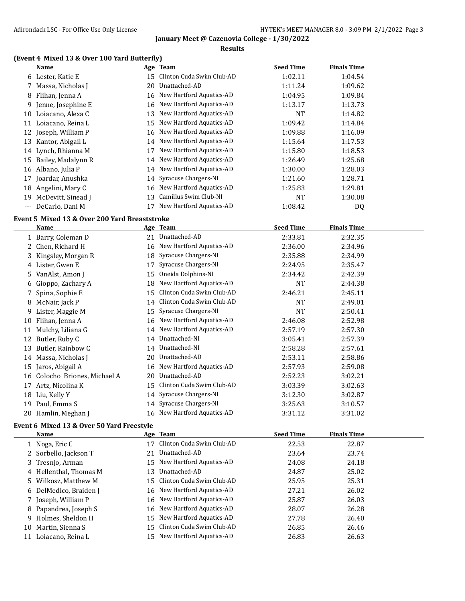### **Results**

## **(Event 4 Mixed 13 & Over 100 Yard Butterfly)**

|       | Name                 |     | Age Team                    | <b>Seed Time</b> | <b>Finals Time</b> |
|-------|----------------------|-----|-----------------------------|------------------|--------------------|
|       | 6 Lester, Katie E    | 15  | Clinton Cuda Swim Club-AD   | 1:02.11          | 1:04.54            |
|       | 7 Massa, Nicholas J  | 20. | Unattached-AD               | 1:11.24          | 1:09.62            |
|       | 8 Flihan, Jenna A    |     | 16 New Hartford Aquatics-AD | 1:04.95          | 1:09.84            |
| 9.    | Jenne, Josephine E   |     | 16 New Hartford Aquatics-AD | 1:13.17          | 1:13.73            |
| 10    | Loiacano, Alexa C    | 13  | New Hartford Aquatics-AD    | <b>NT</b>        | 1:14.82            |
| 11    | Loiacano, Reina L    | 15  | New Hartford Aquatics-AD    | 1:09.42          | 1:14.84            |
|       | 12 Joseph, William P |     | 16 New Hartford Aquatics-AD | 1:09.88          | 1:16.09            |
| 13    | Kantor, Abigail L    | 14  | New Hartford Aquatics-AD    | 1:15.64          | 1:17.53            |
| 14    | Lynch, Rhianna M     | 17  | New Hartford Aquatics-AD    | 1:15.80          | 1:18.53            |
| 15    | Bailey, Madalynn R   | 14  | New Hartford Aquatics-AD    | 1:26.49          | 1:25.68            |
|       | 16 Albano, Julia P   |     | 14 New Hartford Aquatics-AD | 1:30.00          | 1:28.03            |
| 17    | Joardar, Anushka     |     | 14 Syracuse Chargers-NI     | 1:21.60          | 1:28.71            |
| 18    | Angelini, Mary C     |     | 16 New Hartford Aquatics-AD | 1:25.83          | 1:29.81            |
| 19    | McDevitt, Sinead J   | 13  | Camillus Swim Club-NI       | <b>NT</b>        | 1:30.08            |
| $---$ | DeCarlo, Dani M      |     | New Hartford Aquatics-AD    | 1:08.42          | DQ                 |
|       |                      |     |                             |                  |                    |

## **Event 5 Mixed 13 & Over 200 Yard Breaststroke**

 $\overline{a}$ 

 $\equiv$ 

|    | Name                          |    | Age Team                    | <b>Seed Time</b> | <b>Finals Time</b> |  |
|----|-------------------------------|----|-----------------------------|------------------|--------------------|--|
|    | 1 Barry, Coleman D            | 21 | Unattached-AD               | 2:33.81          | 2:32.35            |  |
|    | Chen, Richard H               | 16 | New Hartford Aquatics-AD    | 2:36.00          | 2:34.96            |  |
| 3  | Kingsley, Morgan R            | 18 | Syracuse Chargers-NI        | 2:35.88          | 2:34.99            |  |
| 4  | Lister, Gwen E                | 17 | Syracuse Chargers-NI        | 2:24.95          | 2:35.47            |  |
| 5. | VanAlst, Amon J               | 15 | Oneida Dolphins-NI          | 2:34.42          | 2:42.39            |  |
| 6  | Gioppo, Zachary A             | 18 | New Hartford Aquatics-AD    | <b>NT</b>        | 2:44.38            |  |
| 7  | Spina, Sophie E               | 15 | Clinton Cuda Swim Club-AD   | 2:46.21          | 2:45.11            |  |
| 8  | McNair, Jack P                | 14 | Clinton Cuda Swim Club-AD   | <b>NT</b>        | 2:49.01            |  |
| 9  | Lister, Maggie M              | 15 | Syracuse Chargers-NI        | <b>NT</b>        | 2:50.41            |  |
| 10 | Flihan, Jenna A               | 16 | New Hartford Aquatics-AD    | 2:46.08          | 2:52.98            |  |
| 11 | Mulchy, Liliana G             | 14 | New Hartford Aquatics-AD    | 2:57.19          | 2:57.30            |  |
| 12 | Butler, Ruby C                | 14 | Unattached-NI               | 3:05.41          | 2:57.39            |  |
| 13 | Butler, Rainbow C             | 14 | Unattached-NI               | 2:58.28          | 2:57.61            |  |
| 14 | Massa, Nicholas J             | 20 | Unattached-AD               | 2:53.11          | 2:58.86            |  |
|    | 15 Jaros, Abigail A           | 16 | New Hartford Aquatics-AD    | 2:57.93          | 2:59.08            |  |
|    | 16 Colocho Briones, Michael A | 20 | Unattached-AD               | 2:52.23          | 3:02.21            |  |
| 17 | Artz, Nicolina K              | 15 | Clinton Cuda Swim Club-AD   | 3:03.39          | 3:02.63            |  |
| 18 | Liu, Kelly Y                  |    | 14 Syracuse Chargers-NI     | 3:12.30          | 3:02.87            |  |
| 19 | Paul, Emma S                  |    | 14 Syracuse Chargers-NI     | 3:25.63          | 3:10.57            |  |
| 20 | Hamlin, Meghan J              |    | 16 New Hartford Aquatics-AD | 3:31.12          | 3:31.02            |  |

# **Event 6 Mixed 13 & Over 50 Yard Freestyle**

|    | <b>Name</b>            |    | Age Team                     | <b>Seed Time</b> | <b>Finals Time</b> |
|----|------------------------|----|------------------------------|------------------|--------------------|
|    | 1 Noga, Eric C         | 17 | Clinton Cuda Swim Club-AD    | 22.53            | 22.87              |
|    | 2 Sorbello, Jackson T  | 21 | Unattached-AD                | 23.64            | 23.74              |
|    | 3 Tresnjo, Arman       |    | 15 New Hartford Aquatics-AD  | 24.08            | 24.18              |
|    | 4 Hellenthal, Thomas M |    | 13 Unattached-AD             | 24.87            | 25.02              |
|    | 5 Wilkosz, Matthew M   |    | 15 Clinton Cuda Swim Club-AD | 25.95            | 25.31              |
|    | 6 DelMedico, Braiden J |    | 16 New Hartford Aquatics-AD  | 27.21            | 26.02              |
|    | 7 Joseph, William P    |    | 16 New Hartford Aquatics-AD  | 25.87            | 26.03              |
|    | 8 Papandrea, Joseph S  |    | 16 New Hartford Aquatics-AD  | 28.07            | 26.28              |
|    | 9 Holmes, Sheldon H    |    | 15 New Hartford Aquatics-AD  | 27.78            | 26.40              |
| 10 | Martin, Sienna S       |    | 15 Clinton Cuda Swim Club-AD | 26.85            | 26.46              |
| 11 | Loiacano, Reina L      |    | 15 New Hartford Aquatics-AD  | 26.83            | 26.63              |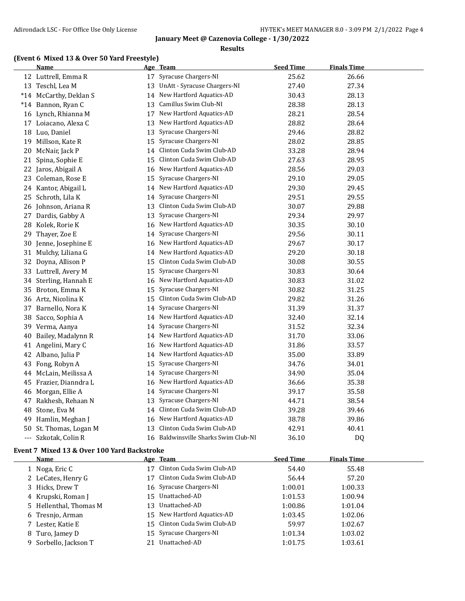### **Results**

## **(Event 6 Mixed 13 & Over 50 Yard Freestyle)**

|       | Name                   |    | Age Team                          | <b>Seed Time</b> | <b>Finals Time</b> |
|-------|------------------------|----|-----------------------------------|------------------|--------------------|
|       | 12 Luttrell, Emma R    |    | 17 Syracuse Chargers-NI           | 25.62            | 26.66              |
|       | 13 Teschl, Lea M       | 13 | UnAtt - Syracuse Chargers-NI      | 27.40            | 27.34              |
|       | *14 McCarthy, Deklan S | 14 | New Hartford Aquatics-AD          | 30.43            | 28.13              |
|       | *14 Bannon, Ryan C     | 13 | Camillus Swim Club-NI             | 28.38            | 28.13              |
|       | 16 Lynch, Rhianna M    | 17 | New Hartford Aquatics-AD          | 28.21            | 28.54              |
|       | 17 Loiacano, Alexa C   |    | 13 New Hartford Aquatics-AD       | 28.82            | 28.64              |
|       | 18 Luo, Daniel         | 13 | Syracuse Chargers-NI              | 29.46            | 28.82              |
| 19    | Millson, Kate R        | 15 | Syracuse Chargers-NI              | 28.02            | 28.85              |
| 20    | McNair, Jack P         | 14 | Clinton Cuda Swim Club-AD         | 33.28            | 28.94              |
|       | 21 Spina, Sophie E     | 15 | Clinton Cuda Swim Club-AD         | 27.63            | 28.95              |
|       | 22 Jaros, Abigail A    | 16 | New Hartford Aquatics-AD          | 28.56            | 29.03              |
| 23    | Coleman, Rose E        | 15 | Syracuse Chargers-NI              | 29.10            | 29.05              |
|       | 24 Kantor, Abigail L   | 14 | New Hartford Aquatics-AD          | 29.30            | 29.45              |
| 25    | Schroth, Lila K        | 14 | Syracuse Chargers-NI              | 29.51            | 29.55              |
|       | 26 Johnson, Ariana R   | 13 | Clinton Cuda Swim Club-AD         | 30.07            | 29.88              |
| 27    | Dardis, Gabby A        | 13 | Syracuse Chargers-NI              | 29.34            | 29.97              |
| 28    | Kolek, Rorie K         | 16 | New Hartford Aquatics-AD          | 30.35            | 30.10              |
| 29    | Thayer, Zoe E          | 14 | Syracuse Chargers-NI              | 29.56            | 30.11              |
| 30    | Jenne, Josephine E     |    | 16 New Hartford Aquatics-AD       | 29.67            | 30.17              |
| 31    | Mulchy, Liliana G      | 14 | New Hartford Aquatics-AD          | 29.20            | 30.18              |
| 32    | Doyna, Allison P       | 15 | Clinton Cuda Swim Club-AD         | 30.08            | 30.55              |
| 33    | Luttrell, Avery M      | 15 | Syracuse Chargers-NI              | 30.83            | 30.64              |
| 34    | Sterling, Hannah E     | 16 | New Hartford Aquatics-AD          | 30.83            | 31.02              |
| 35    | Broton, Emma K         | 15 | Syracuse Chargers-NI              | 30.82            | 31.25              |
|       | 36 Artz, Nicolina K    | 15 | Clinton Cuda Swim Club-AD         | 29.82            | 31.26              |
| 37    | Barnello, Nora K       | 14 | Syracuse Chargers-NI              | 31.39            | 31.37              |
| 38    | Sacco, Sophia A        | 14 | New Hartford Aquatics-AD          | 32.40            | 32.14              |
| 39    | Verma, Aanya           | 14 | Syracuse Chargers-NI              | 31.52            | 32.34              |
| 40    | Bailey, Madalynn R     | 14 | New Hartford Aquatics-AD          | 31.70            | 33.06              |
|       | 41 Angelini, Mary C    | 16 | New Hartford Aquatics-AD          | 31.86            | 33.57              |
|       | 42 Albano, Julia P     | 14 | New Hartford Aquatics-AD          | 35.00            | 33.89              |
| 43    | Fong, Robyn A          | 15 | Syracuse Chargers-NI              | 34.76            | 34.01              |
| 44    | McLain, Meilissa A     | 14 | Syracuse Chargers-NI              | 34.90            | 35.04              |
| 45    | Frazier, Dianndra L    | 16 | New Hartford Aquatics-AD          | 36.66            | 35.38              |
| 46    | Morgan, Ellie A        | 14 | Syracuse Chargers-NI              | 39.17            | 35.58              |
| 47    | Rakhesh, Rehaan N      | 13 | Syracuse Chargers-NI              | 44.71            | 38.54              |
| 48    | Stone, Eva M           | 14 | Clinton Cuda Swim Club-AD         | 39.28            | 39.46              |
| 49    | Hamlin, Meghan J       | 16 | New Hartford Aquatics-AD          | 38.78            | 39.86              |
| 50    | St. Thomas, Logan M    | 13 | Clinton Cuda Swim Club-AD         | 42.91            | 40.41              |
| $---$ | Szkotak, Colin R       | 16 | Baldwinsville Sharks Swim Club-NI | 36.10            | DQ                 |

## **Event 7 Mixed 13 & Over 100 Yard Backstroke**

| Name                   |    | Age Team                     | <b>Seed Time</b> | <b>Finals Time</b> |
|------------------------|----|------------------------------|------------------|--------------------|
| 1 Noga, Eric C         |    | 17 Clinton Cuda Swim Club-AD | 54.40            | 55.48              |
| 2 LeCates, Henry G     |    | 17 Clinton Cuda Swim Club-AD | 56.44            | 57.20              |
| 3 Hicks, Drew T        |    | 16 Syracuse Chargers-NI      | 1:00.01          | 1:00.33            |
| 4 Krupski, Roman J     |    | 15 Unattached-AD             | 1:01.53          | 1:00.94            |
| 5 Hellenthal, Thomas M | 13 | Unattached-AD                | 1:00.86          | 1:01.04            |
| 6 Tresnjo, Arman       |    | 15 New Hartford Aquatics-AD  | 1:03.45          | 1:02.06            |
| 7 Lester, Katie E      |    | 15 Clinton Cuda Swim Club-AD | 59.97            | 1:02.67            |
| 8 Turo, Jamey D        |    | 15 Syracuse Chargers-NI      | 1:01.34          | 1:03.02            |
| 9 Sorbello, Jackson T  | 21 | Unattached-AD                | 1:01.75          | 1:03.61            |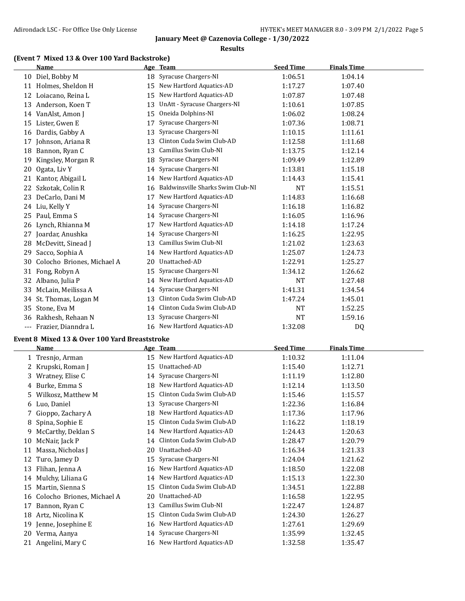#### **Results**

## **(Event 7 Mixed 13 & Over 100 Yard Backstroke)**

|     | <b>Name</b>                                   |    | Age Team                                                    | <b>Seed Time</b> | <b>Finals Time</b> |  |
|-----|-----------------------------------------------|----|-------------------------------------------------------------|------------------|--------------------|--|
|     | 10 Diel, Bobby M                              |    | 18 Syracuse Chargers-NI                                     | 1:06.51          | 1:04.14            |  |
|     | 11 Holmes, Sheldon H                          | 15 | New Hartford Aquatics-AD                                    | 1:17.27          | 1:07.40            |  |
| 12  | Loiacano, Reina L                             | 15 | New Hartford Aquatics-AD                                    | 1:07.87          | 1:07.48            |  |
| 13  | Anderson, Koen T                              | 13 | UnAtt - Syracuse Chargers-NI                                | 1:10.61          | 1:07.85            |  |
|     | 14 VanAlst, Amon J                            | 15 | Oneida Dolphins-NI                                          | 1:06.02          | 1:08.24            |  |
| 15  | Lister, Gwen E                                | 17 | Syracuse Chargers-NI                                        | 1:07.36          | 1:08.71            |  |
|     | 16 Dardis, Gabby A                            | 13 | Syracuse Chargers-NI                                        | 1:10.15          | 1:11.61            |  |
| 17  | Johnson, Ariana R                             | 13 | Clinton Cuda Swim Club-AD                                   | 1:12.58          | 1:11.68            |  |
| 18  | Bannon, Ryan C                                | 13 | Camillus Swim Club-NI                                       | 1:13.75          | 1:12.14            |  |
| 19  | Kingsley, Morgan R                            | 18 | Syracuse Chargers-NI                                        | 1:09.49          | 1:12.89            |  |
| 20  | Ogata, Liv Y                                  |    | 14 Syracuse Chargers-NI                                     | 1:13.81          | 1:15.18            |  |
|     | 21 Kantor, Abigail L                          |    | 14 New Hartford Aquatics-AD                                 | 1:14.43          | 1:15.41            |  |
| 22  | Szkotak, Colin R                              | 16 | Baldwinsville Sharks Swim Club-NI                           | NT               | 1:15.51            |  |
| 23  | DeCarlo, Dani M                               |    | 17 New Hartford Aquatics-AD                                 | 1:14.83          | 1:16.68            |  |
|     | 24 Liu, Kelly Y                               | 14 | Syracuse Chargers-NI                                        | 1:16.18          | 1:16.82            |  |
| 25  | Paul, Emma S                                  | 14 | Syracuse Chargers-NI                                        | 1:16.05          | 1:16.96            |  |
| 26  | Lynch, Rhianna M                              |    | 17 New Hartford Aquatics-AD                                 | 1:14.18          | 1:17.24            |  |
|     | 27 Joardar, Anushka                           | 14 | Syracuse Chargers-NI                                        | 1:16.25          | 1:22.95            |  |
| 28  | McDevitt, Sinead J                            | 13 | Camillus Swim Club-NI                                       | 1:21.02          | 1:23.63            |  |
| 29. | Sacco, Sophia A                               |    | 14 New Hartford Aquatics-AD                                 | 1:25.07          | 1:24.73            |  |
| 30  | Colocho Briones, Michael A                    | 20 | Unattached-AD                                               | 1:22.91          | 1:25.27            |  |
|     | 31 Fong, Robyn A                              | 15 | Syracuse Chargers-NI                                        | 1:34.12          | 1:26.62            |  |
|     | 32 Albano, Julia P                            |    | 14 New Hartford Aquatics-AD                                 | NT               | 1:27.48            |  |
|     | 33 McLain, Meilissa A                         | 14 | Syracuse Chargers-NI                                        | 1:41.31          | 1:34.54            |  |
|     | 34 St. Thomas, Logan M                        | 13 | Clinton Cuda Swim Club-AD                                   | 1:47.24          | 1:45.01            |  |
| 35  | Stone, Eva M                                  |    | 14 Clinton Cuda Swim Club-AD                                | <b>NT</b>        | 1:52.25            |  |
| 36  | Rakhesh, Rehaan N                             | 13 | Syracuse Chargers-NI                                        | <b>NT</b>        | 1:59.16            |  |
|     | --- Frazier, Dianndra L                       |    | 16 New Hartford Aquatics-AD                                 | 1:32.08          | DQ                 |  |
|     |                                               |    |                                                             |                  |                    |  |
|     | Event 8 Mixed 13 & Over 100 Yard Breaststroke |    |                                                             | <b>Seed Time</b> |                    |  |
|     | Name                                          |    | Age Team<br>15 New Hartford Aquatics-AD                     |                  | <b>Finals Time</b> |  |
|     | 1 Tresnjo, Arman                              |    | Unattached-AD                                               | 1:10.32          | 1:11.04            |  |
| 2   | Krupski, Roman J                              | 15 |                                                             | 1:15.40          | 1:12.71            |  |
| 3.  | Wratney, Elise C                              |    | 14 Syracuse Chargers-NI                                     | 1:11.19          | 1:12.80            |  |
| 4   | Burke, Emma S                                 |    | 18 New Hartford Aquatics-AD<br>15 Clinton Cuda Swim Club-AD | 1:12.14          | 1:13.50            |  |
| 5.  | Wilkosz, Matthew M                            |    |                                                             | 1:15.46          | 1:15.57            |  |
| 6   | Luo, Daniel                                   |    | 13 Syracuse Chargers-NI                                     | 1:22.36          | 1:16.84            |  |
| 7   | Gioppo, Zachary A                             |    | 18 New Hartford Aquatics-AD<br>Clinton Cuda Swim Club-AD    | 1:17.36          | 1:17.96            |  |
| 8   | Spina, Sophie E                               | 15 |                                                             | 1:16.22          | 1:18.19            |  |
| 9   | McCarthy, Deklan S                            |    | 14 New Hartford Aquatics-AD                                 | 1:24.43          | 1:20.63            |  |
| 10  | McNair, Jack P                                | 14 | Clinton Cuda Swim Club-AD                                   | 1:28.47          | 1:20.79            |  |
| 11  | Massa, Nicholas J                             | 20 | Unattached-AD                                               | 1:16.34          | 1:21.33            |  |
| 12  | Turo, Jamey D                                 | 15 | Syracuse Chargers-NI                                        | 1:24.04          | 1:21.62            |  |
| 13  | Flihan, Jenna A                               | 16 | New Hartford Aquatics-AD                                    | 1:18.50          | 1:22.08            |  |
| 14  | Mulchy, Liliana G                             | 14 | New Hartford Aquatics-AD                                    | 1:15.13          | 1:22.30            |  |
| 15  | Martin, Sienna S                              | 15 | Clinton Cuda Swim Club-AD                                   | 1:34.51          | 1:22.88            |  |
| 16  | Colocho Briones, Michael A                    | 20 | Unattached-AD                                               | 1:16.58          | 1:22.95            |  |
|     | 17 Bannon, Ryan C                             | 13 | Camillus Swim Club-NI                                       | 1:22.47          | 1:24.87            |  |

 Artz, Nicolina K 15 Clinton Cuda Swim Club-AD 1:24.30 1:26.27 19 Jenne, Josephine E 16 New Hartford Aquatics-AD 1:27.61 1:29.69 Verma, Aanya 14 Syracuse Chargers-NI 1:35.99 1:32.45 21 Angelini, Mary C 16 New Hartford Aquatics-AD 1:32.58 1:35.47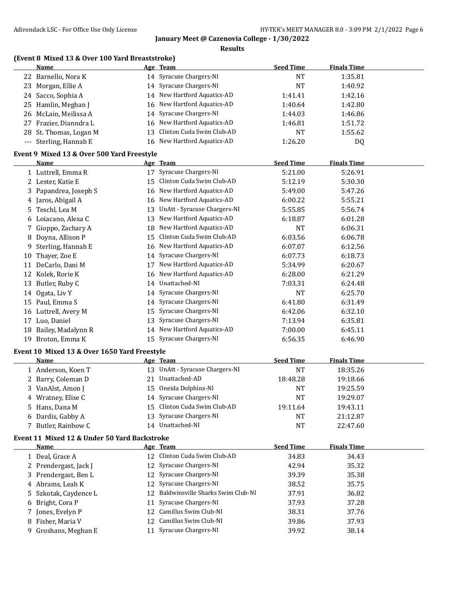**Results**

# **(Event 8 Mixed 13 & Over 100 Yard Breaststroke)**

|       | Name                                         |    | Age Team                        | <b>Seed Time</b> | <b>Finals Time</b> |  |
|-------|----------------------------------------------|----|---------------------------------|------------------|--------------------|--|
|       | 22 Barnello, Nora K                          |    | 14 Syracuse Chargers-NI         | <b>NT</b>        | 1:35.81            |  |
| 23    | Morgan, Ellie A                              |    | 14 Syracuse Chargers-NI         | <b>NT</b>        | 1:40.92            |  |
|       | 24 Sacco, Sophia A                           |    | 14 New Hartford Aquatics-AD     | 1:41.41          | 1:42.16            |  |
| 25    | Hamlin, Meghan J                             |    | 16 New Hartford Aquatics-AD     | 1:40.64          | 1:42.80            |  |
| 26    | McLain, Meilissa A                           | 14 | Syracuse Chargers-NI            | 1:44.03          | 1:46.86            |  |
| 27    | Frazier, Dianndra L                          | 16 | New Hartford Aquatics-AD        | 1:46.81          | 1:51.72            |  |
| 28    | St. Thomas, Logan M                          | 13 | Clinton Cuda Swim Club-AD       | <b>NT</b>        | 1:55.62            |  |
| $---$ | Sterling, Hannah E                           |    | 16 New Hartford Aquatics-AD     | 1:26.20          | DQ                 |  |
|       | Event 9 Mixed 13 & Over 500 Yard Freestyle   |    |                                 |                  |                    |  |
|       | Name                                         |    | Age Team                        | <b>Seed Time</b> | <b>Finals Time</b> |  |
|       | 1 Luttrell, Emma R                           |    | 17 Syracuse Chargers-NI         | 5:21.00          | 5:26.91            |  |
|       | 2 Lester, Katie E                            | 15 | Clinton Cuda Swim Club-AD       | 5:12.19          | 5:30.30            |  |
|       | 3 Papandrea, Joseph S                        | 16 | New Hartford Aquatics-AD        | 5:49.00          | 5:47.26            |  |
|       | 4 Jaros, Abigail A                           |    | 16 New Hartford Aquatics-AD     | 6:00.22          | 5:55.21            |  |
| 5.    | Teschl, Lea M                                | 13 | UnAtt - Syracuse Chargers-NI    | 5:55.85          | 5:56.74            |  |
|       | 6 Loiacano, Alexa C                          | 13 | New Hartford Aquatics-AD        | 6:18.87          | 6:01.28            |  |
| 7.    | Gioppo, Zachary A                            | 18 | New Hartford Aquatics-AD        | <b>NT</b>        | 6:06.31            |  |
| 8     | Doyna, Allison P                             | 15 | Clinton Cuda Swim Club-AD       | 6:03.56          | 6:06.78            |  |
| 9     | Sterling, Hannah E                           | 16 | New Hartford Aquatics-AD        | 6:07.07          | 6:12.56            |  |
| 10    | Thayer, Zoe E                                | 14 | Syracuse Chargers-NI            | 6:07.73          | 6:18.73            |  |
| 11    | DeCarlo, Dani M                              | 17 | New Hartford Aquatics-AD        | 5:34.99          | 6:20.67            |  |
|       | 12 Kolek, Rorie K                            | 16 | New Hartford Aquatics-AD        | 6:28.00          | 6:21.29            |  |
| 13    | Butler, Ruby C                               | 14 | Unattached-NI                   | 7:03.31          | 6:24.48            |  |
| 14    | Ogata, Liv Y                                 | 14 | Syracuse Chargers-NI            | <b>NT</b>        | 6:25.70            |  |
| 15    | Paul, Emma S                                 | 14 | Syracuse Chargers-NI            | 6:41.80          | 6:31.49            |  |
| 16    | Luttrell, Avery M                            | 15 | Syracuse Chargers-NI            | 6:42.06          | 6:32.10            |  |
|       | 17 Luo, Daniel                               | 13 | Syracuse Chargers-NI            | 7:13.94          | 6:35.81            |  |
| 18    | Bailey, Madalynn R                           | 14 | New Hartford Aquatics-AD        | 7:00.00          | 6:45.11            |  |
| 19    | Broton, Emma K                               |    | 15 Syracuse Chargers-NI         | 6:56.35          | 6:46.90            |  |
|       | Event 10 Mixed 13 & Over 1650 Yard Freestyle |    |                                 |                  |                    |  |
|       | Name                                         |    | Age Team                        | <b>Seed Time</b> | <b>Finals Time</b> |  |
|       | 1 Anderson, Koen T                           |    | 13 UnAtt - Syracuse Chargers-NI | <b>NT</b>        | 18:35.26           |  |
|       | 2 Barry, Coleman D                           |    | 21 Unattached-AD                | 18:48.28         | 19:18.66           |  |
|       |                                              |    |                                 |                  |                    |  |

3 VanAlst, Amon J 15 Oneida Dolphins-NI NT 19:25.59 4 Wratney, Elise C 14 Syracuse Chargers-NI NT 19:29.07 Hans, Dana M 15 Clinton Cuda Swim Club-AD 19:11.64 19:43.11 Dardis, Gabby A 13 Syracuse Chargers-NI NT 21:12.87 7 Butler, Rainbow C 14 Unattached-NI NT 22:47.60

## **Event 11 Mixed 12 & Under 50 Yard Backstroke**

| Name                  | Age Team                             | <b>Seed Time</b> | <b>Finals Time</b> |  |
|-----------------------|--------------------------------------|------------------|--------------------|--|
| 1 Deal, Grace A       | 12 Clinton Cuda Swim Club-AD         | 34.83            | 34.43              |  |
| 2 Prendergast, Jack J | 12 Syracuse Chargers-NI              | 42.94            | 35.32              |  |
| 3 Prendergast, Ben L  | 12 Syracuse Chargers-NI              | 39.39            | 35.38              |  |
| 4 Abrams, Leah K      | 12 Syracuse Chargers-NI              | 38.52            | 35.75              |  |
| 5 Szkotak, Caydence L | 12 Baldwinsville Sharks Swim Club-NI | 37.91            | 36.82              |  |
| 6 Bright, Cora P      | 11 Syracuse Chargers-NI              | 37.93            | 37.28              |  |
| 7 Jones, Evelyn P     | 12 Camillus Swim Club-NI             | 38.31            | 37.76              |  |
| 8 Fisher, Maria V     | 12 Camillus Swim Club-NI             | 39.86            | 37.93              |  |
| 9 Groshans, Meghan E  | Syracuse Chargers-NI                 | 39.92            | 38.14              |  |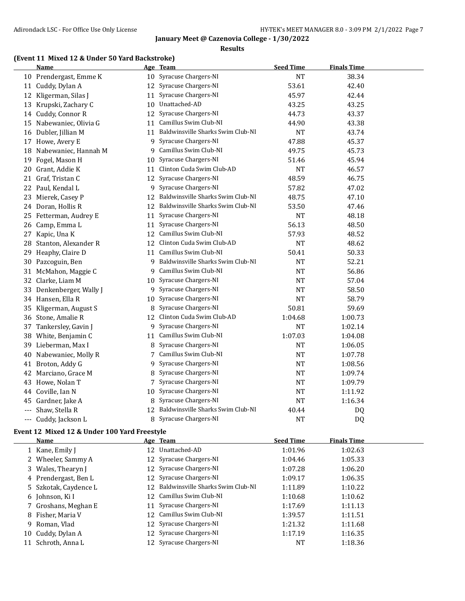### **Results**

## **(Event 11 Mixed 12 & Under 50 Yard Backstroke)**

|                     | <b>Name</b>            |    | Age Team                          | <b>Seed Time</b> | <b>Finals Time</b> |  |
|---------------------|------------------------|----|-----------------------------------|------------------|--------------------|--|
|                     | 10 Prendergast, Emme K | 10 | Syracuse Chargers-NI              | <b>NT</b>        | 38.34              |  |
|                     | 11 Cuddy, Dylan A      |    | 12 Syracuse Chargers-NI           | 53.61            | 42.40              |  |
|                     | 12 Kligerman, Silas J  | 11 | Syracuse Chargers-NI              | 45.97            | 42.44              |  |
| 13                  | Krupski, Zachary C     | 10 | Unattached-AD                     | 43.25            | 43.25              |  |
|                     | 14 Cuddy, Connor R     | 12 | Syracuse Chargers-NI              | 44.73            | 43.37              |  |
| 15                  | Nabewaniec, Olivia G   |    | 11 Camillus Swim Club-NI          | 44.90            | 43.38              |  |
| 16                  | Dubler, Jillian M      | 11 | Baldwinsville Sharks Swim Club-NI | <b>NT</b>        | 43.74              |  |
| 17                  | Howe, Avery E          | 9  | Syracuse Chargers-NI              | 47.88            | 45.37              |  |
| 18                  | Nabewaniec, Hannah M   | 9  | Camillus Swim Club-NI             | 49.75            | 45.73              |  |
| 19                  | Fogel, Mason H         | 10 | Syracuse Chargers-NI              | 51.46            | 45.94              |  |
| 20                  | Grant, Addie K         | 11 | Clinton Cuda Swim Club-AD         | <b>NT</b>        | 46.57              |  |
|                     | 21 Graf, Tristan C     | 12 | Syracuse Chargers-NI              | 48.59            | 46.75              |  |
| 22                  | Paul, Kendal L         | 9  | Syracuse Chargers-NI              | 57.82            | 47.02              |  |
| 23                  | Mierek, Casey P        | 12 | Baldwinsville Sharks Swim Club-NI | 48.75            | 47.10              |  |
| 24                  | Doran, Hollis R        | 12 | Baldwinsville Sharks Swim Club-NI | 53.50            | 47.46              |  |
| 25                  | Fetterman, Audrey E    | 11 | Syracuse Chargers-NI              | <b>NT</b>        | 48.18              |  |
| 26                  | Camp, Emma L           | 11 | Syracuse Chargers-NI              | 56.13            | 48.50              |  |
| 27                  | Kapic, Una K           |    | 12 Camillus Swim Club-NI          | 57.93            | 48.52              |  |
| 28                  | Stanton, Alexander R   | 12 | Clinton Cuda Swim Club-AD         | <b>NT</b>        | 48.62              |  |
| 29                  | Heaphy, Claire D       | 11 | Camillus Swim Club-NI             | 50.41            | 50.33              |  |
| 30                  | Pazcoguin, Ben         | 9  | Baldwinsville Sharks Swim Club-NI | <b>NT</b>        | 52.21              |  |
| 31                  | McMahon, Maggie C      | 9  | Camillus Swim Club-NI             | <b>NT</b>        | 56.86              |  |
| 32                  | Clarke, Liam M         | 10 | Syracuse Chargers-NI              | <b>NT</b>        | 57.04              |  |
| 33                  | Denkenberger, Wally J  | 9  | Syracuse Chargers-NI              | <b>NT</b>        | 58.50              |  |
| 34                  | Hansen, Ella R         | 10 | Syracuse Chargers-NI              | <b>NT</b>        | 58.79              |  |
| 35                  | Kligerman, August S    | 8  | Syracuse Chargers-NI              | 50.81            | 59.69              |  |
|                     | 36 Stone, Amalie R     | 12 | Clinton Cuda Swim Club-AD         | 1:04.68          | 1:00.73            |  |
| 37                  | Tankersley, Gavin J    | 9  | Syracuse Chargers-NI              | <b>NT</b>        | 1:02.14            |  |
| 38                  | White, Benjamin C      | 11 | Camillus Swim Club-NI             | 1:07.03          | 1:04.08            |  |
| 39                  | Lieberman, Max I       | 8  | Syracuse Chargers-NI              | <b>NT</b>        | 1:06.05            |  |
| 40                  | Nabewaniec, Molly R    | 7  | Camillus Swim Club-NI             | <b>NT</b>        | 1:07.78            |  |
| 41                  | Broton, Addy G         | 9  | Syracuse Chargers-NI              | NT               | 1:08.56            |  |
|                     | 42 Marciano, Grace M   | 8  | Syracuse Chargers-NI              | <b>NT</b>        | 1:09.74            |  |
| 43                  | Howe, Nolan T          | 7  | Syracuse Chargers-NI              | NT               | 1:09.79            |  |
| 44                  | Coville, Ian N         | 10 | Syracuse Chargers-NI              | <b>NT</b>        | 1:11.92            |  |
| 45                  | Gardner, Jake A        | 8  | Syracuse Chargers-NI              | <b>NT</b>        | 1:16.34            |  |
| $\qquad \qquad - -$ | Shaw, Stella R         | 12 | Baldwinsville Sharks Swim Club-NI | 40.44            | DQ                 |  |
|                     | --- Cuddy, Jackson L   | 8  | Syracuse Chargers-NI              | <b>NT</b>        | D <sub>Q</sub>     |  |

## **Event 12 Mixed 12 & Under 100 Yard Freestyle**

|    | <b>Name</b>           |    | Age Team                          | <b>Seed Time</b> | <b>Finals Time</b> |
|----|-----------------------|----|-----------------------------------|------------------|--------------------|
|    | 1 Kane, Emily J       |    | 12 Unattached-AD                  | 1:01.96          | 1:02.63            |
|    | 2 Wheeler, Sammy A    |    | 12 Syracuse Chargers-NI           | 1:04.46          | 1:05.33            |
|    | 3 Wales, Thearyn J    |    | 12 Syracuse Chargers-NI           | 1:07.28          | 1:06.20            |
|    | 4 Prendergast, Ben L  |    | 12 Syracuse Chargers-NI           | 1:09.17          | 1:06.35            |
|    | 5 Szkotak, Caydence L | 12 | Baldwinsville Sharks Swim Club-NI | 1:11.89          | 1:10.22            |
|    | 6 Johnson, Ki I       |    | 12 Camillus Swim Club-NI          | 1:10.68          | 1:10.62            |
|    | 7 Groshans, Meghan E  |    | 11 Syracuse Chargers-NI           | 1:17.69          | 1:11.13            |
|    | 8 Fisher, Maria V     |    | 12 Camillus Swim Club-NI          | 1:39.57          | 1:11.51            |
| 9. | Roman, Vlad           |    | 12 Syracuse Chargers-NI           | 1:21.32          | 1:11.68            |
|    | 10 Cuddy, Dylan A     |    | 12 Syracuse Chargers-NI           | 1:17.19          | 1:16.35            |
|    | 11 Schroth, Anna L    |    | 12 Syracuse Chargers-NI           | NT               | 1:18.36            |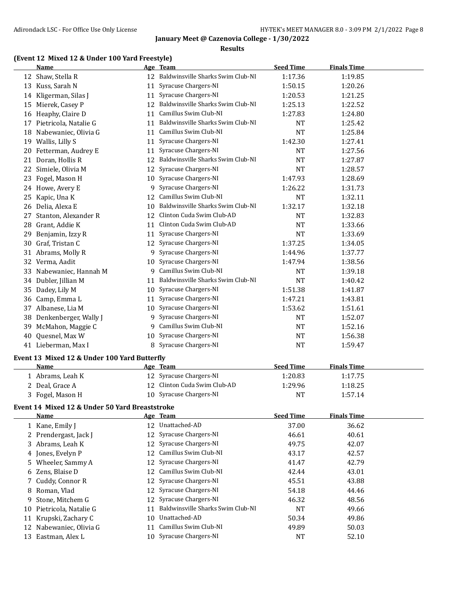### **Results**

## **(Event 12 Mixed 12 & Under 100 Yard Freestyle)**

|    | <b>Name</b>                                    |    | Age Team                             | <b>Seed Time</b> | <b>Finals Time</b> |  |
|----|------------------------------------------------|----|--------------------------------------|------------------|--------------------|--|
|    | 12 Shaw, Stella R                              |    | 12 Baldwinsville Sharks Swim Club-NI | 1:17.36          | 1:19.85            |  |
|    | 13 Kuss, Sarah N                               | 11 | Syracuse Chargers-NI                 | 1:50.15          | 1:20.26            |  |
|    | 14 Kligerman, Silas J                          | 11 | Syracuse Chargers-NI                 | 1:20.53          | 1:21.25            |  |
|    | 15 Mierek, Casey P                             | 12 | Baldwinsville Sharks Swim Club-NI    | 1:25.13          | 1:22.52            |  |
|    | 16 Heaphy, Claire D                            | 11 | Camillus Swim Club-NI                | 1:27.83          | 1:24.80            |  |
|    | 17 Pietricola, Natalie G                       | 11 | Baldwinsville Sharks Swim Club-NI    | <b>NT</b>        | 1:25.42            |  |
|    | 18 Nabewaniec, Olivia G                        | 11 | Camillus Swim Club-NI                | <b>NT</b>        | 1:25.84            |  |
|    | 19 Wallis, Lilly S                             | 11 | Syracuse Chargers-NI                 | 1:42.30          | 1:27.41            |  |
|    | 20 Fetterman, Audrey E                         | 11 | Syracuse Chargers-NI                 | <b>NT</b>        | 1:27.56            |  |
| 21 | Doran, Hollis R                                | 12 | Baldwinsville Sharks Swim Club-NI    | <b>NT</b>        | 1:27.87            |  |
| 22 | Simiele, Olivia M                              | 12 | Syracuse Chargers-NI                 | <b>NT</b>        | 1:28.57            |  |
|    | 23 Fogel, Mason H                              | 10 | Syracuse Chargers-NI                 | 1:47.93          | 1:28.69            |  |
|    | 24 Howe, Avery E                               | 9  | Syracuse Chargers-NI                 | 1:26.22          | 1:31.73            |  |
| 25 | Kapic, Una K                                   | 12 | Camillus Swim Club-NI                | <b>NT</b>        | 1:32.11            |  |
|    | 26 Delia, Alexa E                              | 10 | Baldwinsville Sharks Swim Club-NI    | 1:32.17          | 1:32.18            |  |
| 27 | Stanton, Alexander R                           | 12 | Clinton Cuda Swim Club-AD            | <b>NT</b>        | 1:32.83            |  |
| 28 | Grant, Addie K                                 | 11 | Clinton Cuda Swim Club-AD            | <b>NT</b>        | 1:33.66            |  |
| 29 | Benjamin, Izzy R                               | 11 | Syracuse Chargers-NI                 | <b>NT</b>        | 1:33.69            |  |
|    | 30 Graf, Tristan C                             | 12 | Syracuse Chargers-NI                 | 1:37.25          | 1:34.05            |  |
|    | 31 Abrams, Molly R                             | 9  | Syracuse Chargers-NI                 | 1:44.96          | 1:37.77            |  |
|    | 32 Verma, Aadit                                | 10 | Syracuse Chargers-NI                 | 1:47.94          | 1:38.56            |  |
|    | 33 Nabewaniec, Hannah M                        |    | 9 Camillus Swim Club-NI              | <b>NT</b>        | 1:39.18            |  |
|    | 34 Dubler, Jillian M                           | 11 | Baldwinsville Sharks Swim Club-NI    | <b>NT</b>        | 1:40.42            |  |
|    | 35 Dadey, Lily M                               | 10 | Syracuse Chargers-NI                 | 1:51.38          | 1:41.87            |  |
| 36 | Camp, Emma L                                   | 11 | Syracuse Chargers-NI                 | 1:47.21          | 1:43.81            |  |
|    | 37 Albanese, Lia M                             | 10 | Syracuse Chargers-NI                 | 1:53.62          | 1:51.61            |  |
|    | 38 Denkenberger, Wally J                       | 9  | Syracuse Chargers-NI                 | NT               | 1:52.07            |  |
| 39 | McMahon, Maggie C                              | 9  | Camillus Swim Club-NI                | <b>NT</b>        | 1:52.16            |  |
| 40 | Quesnel, Max W                                 | 10 | Syracuse Chargers-NI                 | <b>NT</b>        | 1:56.38            |  |
|    | 41 Lieberman, Max I                            |    | 8 Syracuse Chargers-NI               | <b>NT</b>        | 1:59.47            |  |
|    |                                                |    |                                      |                  |                    |  |
|    | Event 13 Mixed 12 & Under 100 Yard Butterfly   |    |                                      |                  |                    |  |
|    | Name                                           |    | Age Team                             | <b>Seed Time</b> | <b>Finals Time</b> |  |
|    | 1 Abrams, Leah K                               |    | 12 Syracuse Chargers-NI              | 1:20.83          | 1:17.75            |  |
|    | 2 Deal, Grace A                                |    | 12 Clinton Cuda Swim Club-AD         | 1:29.96          | 1:18.25            |  |
|    | 3 Fogel, Mason H                               |    | 10 Syracuse Chargers-NI              | NT               | 1:57.14            |  |
|    | Event 14 Mixed 12 & Under 50 Yard Breaststroke |    |                                      |                  |                    |  |
|    | Name                                           |    | Age Team                             | <b>Seed Time</b> | <b>Finals Time</b> |  |
|    | 1 Kane, Emily J                                |    | 12 Unattached-AD                     | 37.00            | 36.62              |  |
|    | 2 Prendergast, Jack J                          | 12 | Syracuse Chargers-NI                 | 46.61            | 40.61              |  |
|    | 3 Abrams, Leah K                               | 12 | Syracuse Chargers-NI                 | 49.75            | 42.07              |  |
|    | 4 Jones, Evelyn P                              | 12 | Camillus Swim Club-NI                | 43.17            | 42.57              |  |
| 5  | Wheeler, Sammy A                               | 12 | Syracuse Chargers-NI                 | 41.47            | 42.79              |  |
|    | 6 Zens, Blaise D                               | 12 | Camillus Swim Club-NI                | 42.44            | 43.01              |  |
| 7  | Cuddy, Connor R                                | 12 | Syracuse Chargers-NI                 | 45.51            | 43.88              |  |
| 8  | Roman, Vlad                                    | 12 | Syracuse Chargers-NI                 | 54.18            | 44.46              |  |
| 9. | Stone, Mitchem G                               | 12 | Syracuse Chargers-NI                 | 46.32            | 48.56              |  |
| 10 | Pietricola, Natalie G                          | 11 | Baldwinsville Sharks Swim Club-NI    | <b>NT</b>        | 49.66              |  |
| 11 | Krupski, Zachary C                             | 10 | Unattached-AD                        | 50.34            | 49.86              |  |
| 12 | Nabewaniec, Olivia G                           | 11 | Camillus Swim Club-NI                | 49.89            | 50.03              |  |
|    | 13 Eastman, Alex L                             |    | 10 Syracuse Chargers-NI              | NT               | 52.10              |  |
|    |                                                |    |                                      |                  |                    |  |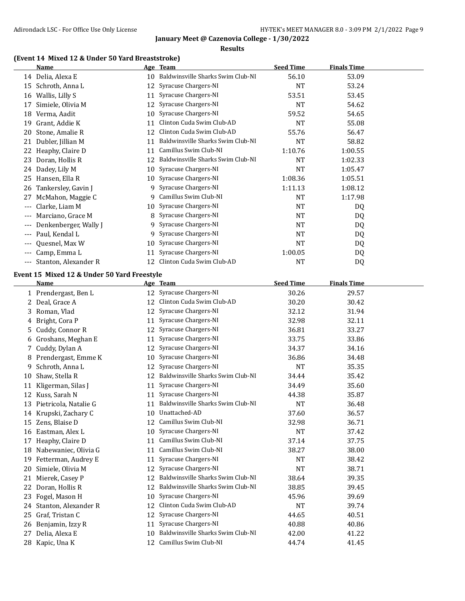### **Results**

# **(Event 14 Mixed 12 & Under 50 Yard Breaststroke)**

|          | <b>Name</b>                                 |    | Age Team                             | <b>Seed Time</b> | <b>Finals Time</b> |  |
|----------|---------------------------------------------|----|--------------------------------------|------------------|--------------------|--|
|          | 14 Delia, Alexa E                           |    | 10 Baldwinsville Sharks Swim Club-NI | 56.10            | 53.09              |  |
| 15       | Schroth, Anna L                             | 12 | Syracuse Chargers-NI                 | <b>NT</b>        | 53.24              |  |
| 16       | Wallis, Lilly S                             | 11 | Syracuse Chargers-NI                 | 53.51            | 53.45              |  |
| 17       | Simiele, Olivia M                           | 12 | Syracuse Chargers-NI                 | <b>NT</b>        | 54.62              |  |
| 18       | Verma, Aadit                                | 10 | Syracuse Chargers-NI                 | 59.52            | 54.65              |  |
| 19       | Grant, Addie K                              | 11 | Clinton Cuda Swim Club-AD            | <b>NT</b>        | 55.08              |  |
| 20       | Stone, Amalie R                             | 12 | Clinton Cuda Swim Club-AD            | 55.76            | 56.47              |  |
| 21       | Dubler, Jillian M                           | 11 | Baldwinsville Sharks Swim Club-NI    | <b>NT</b>        | 58.82              |  |
| 22       | Heaphy, Claire D                            | 11 | Camillus Swim Club-NI                | 1:10.76          | 1:00.55            |  |
| 23       | Doran, Hollis R                             | 12 | Baldwinsville Sharks Swim Club-NI    | <b>NT</b>        | 1:02.33            |  |
| 24       | Dadey, Lily M                               | 10 | Syracuse Chargers-NI                 | NT               | 1:05.47            |  |
| 25       | Hansen, Ella R                              | 10 | Syracuse Chargers-NI                 | 1:08.36          | 1:05.51            |  |
| 26       | Tankersley, Gavin J                         | 9  | Syracuse Chargers-NI                 | 1:11.13          | 1:08.12            |  |
| 27       | McMahon, Maggie C                           | 9. | Camillus Swim Club-NI                | NT               | 1:17.98            |  |
| $---$    | Clarke, Liam M                              | 10 | Syracuse Chargers-NI                 | NT               | DQ                 |  |
| $---$    | Marciano, Grace M                           | 8  | Syracuse Chargers-NI                 | <b>NT</b>        | DQ                 |  |
| $---$    | Denkenberger, Wally J                       | 9. | Syracuse Chargers-NI                 | <b>NT</b>        | DQ                 |  |
|          | Paul, Kendal L                              | 9  | Syracuse Chargers-NI                 | <b>NT</b>        | DQ                 |  |
|          | Quesnel, Max W                              | 10 | Syracuse Chargers-NI                 | NT               | DQ                 |  |
| $---$    | Camp, Emma L                                | 11 | Syracuse Chargers-NI                 | 1:00.05          | DQ                 |  |
| $\cdots$ | Stanton, Alexander R                        | 12 | Clinton Cuda Swim Club-AD            | <b>NT</b>        | DQ                 |  |
|          | Event 15 Mixed 12 & Under 50 Yard Freestyle |    |                                      |                  |                    |  |
|          | Name                                        |    | <u>Age Team</u>                      | <b>Seed Time</b> | <b>Finals Time</b> |  |
|          | 1 Prendergast, Ben L                        |    | 12 Syracuse Chargers-NI              | 30.26            | 29.57              |  |
|          | 2 Deal, Grace A                             |    | 12 Clinton Cuda Swim Club-AD         | 30.20            | 30.42              |  |
| 3        | Roman, Vlad                                 | 12 | Syracuse Chargers-NI                 | 32.12            | 31.94              |  |
| 4        | Bright, Cora P                              | 11 | Syracuse Chargers-NI                 | 32.98            | 32.11              |  |
| 5        | Cuddy, Connor R                             | 12 | Syracuse Chargers-NI                 | 36.81            | 33.27              |  |
| 6        | Groshans, Meghan E                          | 11 | Syracuse Chargers-NI                 | 33.75            | 33.86              |  |
| 7        | Cuddy, Dylan A                              | 12 | Syracuse Chargers-NI                 | 34.37            | 34.16              |  |
| 8        | Prendergast, Emme K                         | 10 | Syracuse Chargers-NI                 | 36.86            | 34.48              |  |
| 9        | Schroth, Anna L                             | 12 | Syracuse Chargers-NI                 | <b>NT</b>        | 35.35              |  |
| 10       | Shaw, Stella R                              | 12 | Baldwinsville Sharks Swim Club-NI    | 34.44            | 35.42              |  |
|          | 11 Kligerman, Silas J                       | 11 | Syracuse Chargers-NI                 | 34.49            | 35.60              |  |
|          | 12 Kuss, Sarah N                            |    | 11 Syracuse Chargers-NI              | 44.38            | 35.87              |  |
|          | 13 Pietricola, Natalie G                    |    | 11 Baldwinsville Sharks Swim Club-NI | <b>NT</b>        | 36.48              |  |
|          | 14 Krupski, Zachary C                       |    | 10 Unattached-AD                     | 37.60            | 36.57              |  |
|          | 15 Zens, Blaise D                           |    | 12 Camillus Swim Club-NI             | 32.98            | 36.71              |  |
|          | 16 Eastman, Alex L                          | 10 | Syracuse Chargers-NI                 | NT               | 37.42              |  |
|          | 17 Heaphy, Claire D                         |    | 11 Camillus Swim Club-NI             | 37.14            | 37.75              |  |
| 18       | Nabewaniec, Olivia G                        | 11 | Camillus Swim Club-NI                | 38.27            | 38.00              |  |
| 19       | Fetterman, Audrey E                         | 11 | Syracuse Chargers-NI                 | <b>NT</b>        | 38.42              |  |
| 20       | Simiele, Olivia M                           | 12 | Syracuse Chargers-NI                 | <b>NT</b>        | 38.71              |  |
| 21       | Mierek, Casey P                             | 12 | Baldwinsville Sharks Swim Club-NI    | 38.64            | 39.35              |  |
| 22       | Doran, Hollis R                             | 12 | Baldwinsville Sharks Swim Club-NI    | 38.85            | 39.45              |  |
| 23       | Fogel, Mason H                              | 10 | Syracuse Chargers-NI                 | 45.96            | 39.69              |  |
| 24       | Stanton, Alexander R                        | 12 | Clinton Cuda Swim Club-AD            | NT               | 39.74              |  |
| 25       | Graf, Tristan C                             | 12 | Syracuse Chargers-NI                 | 44.65            | 40.51              |  |
| 26       | Benjamin, Izzy R                            | 11 | Syracuse Chargers-NI                 | 40.88            | 40.86              |  |
| 27       | Delia, Alexa E                              | 10 | Baldwinsville Sharks Swim Club-NI    | 42.00            | 41.22              |  |
|          | 28 Kapic, Una K                             |    | 12 Camillus Swim Club-NI             | 44.74            | 41.45              |  |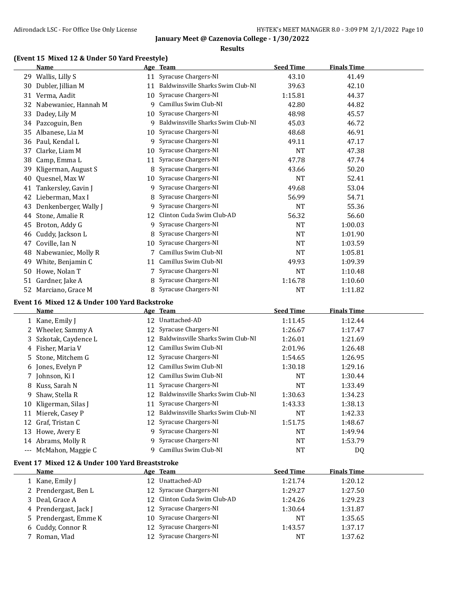### **Results**

## **(Event 15 Mixed 12 & Under 50 Yard Freestyle)**

|    | <b>Name</b>                                     |    | Age Team                             | <b>Seed Time</b> | <b>Finals Time</b> |  |
|----|-------------------------------------------------|----|--------------------------------------|------------------|--------------------|--|
|    | 29 Wallis, Lilly S                              |    | 11 Syracuse Chargers-NI              | 43.10            | 41.49              |  |
| 30 | Dubler, Jillian M                               |    | 11 Baldwinsville Sharks Swim Club-NI | 39.63            | 42.10              |  |
|    | 31 Verma, Aadit                                 | 10 | Syracuse Chargers-NI                 | 1:15.81          | 44.37              |  |
|    | 32 Nabewaniec, Hannah M                         |    | 9 Camillus Swim Club-NI              | 42.80            | 44.82              |  |
| 33 | Dadey, Lily M                                   | 10 | Syracuse Chargers-NI                 | 48.98            | 45.57              |  |
| 34 | Pazcoguin, Ben                                  |    | 9 Baldwinsville Sharks Swim Club-NI  | 45.03            | 46.72              |  |
| 35 | Albanese, Lia M                                 | 10 | Syracuse Chargers-NI                 | 48.68            | 46.91              |  |
| 36 | Paul, Kendal L                                  | 9  | Syracuse Chargers-NI                 | 49.11            | 47.17              |  |
| 37 | Clarke, Liam M                                  | 10 | Syracuse Chargers-NI                 | <b>NT</b>        | 47.38              |  |
| 38 | Camp, Emma L                                    | 11 | Syracuse Chargers-NI                 | 47.78            | 47.74              |  |
| 39 | Kligerman, August S                             | 8  | Syracuse Chargers-NI                 | 43.66            | 50.20              |  |
| 40 | Quesnel, Max W                                  | 10 | Syracuse Chargers-NI                 | <b>NT</b>        | 52.41              |  |
| 41 | Tankersley, Gavin J                             | 9  | Syracuse Chargers-NI                 | 49.68            | 53.04              |  |
| 42 | Lieberman, Max I                                | 8  | Syracuse Chargers-NI                 | 56.99            | 54.71              |  |
| 43 | Denkenberger, Wally J                           | 9  | Syracuse Chargers-NI                 | <b>NT</b>        | 55.36              |  |
| 44 | Stone, Amalie R                                 | 12 | Clinton Cuda Swim Club-AD            | 56.32            | 56.60              |  |
| 45 | Broton, Addy G                                  | 9  | Syracuse Chargers-NI                 | <b>NT</b>        | 1:00.03            |  |
| 46 | Cuddy, Jackson L                                | 8  | Syracuse Chargers-NI                 | <b>NT</b>        | 1:01.90            |  |
| 47 | Coville, Ian N                                  | 10 | Syracuse Chargers-NI                 | <b>NT</b>        | 1:03.59            |  |
| 48 | Nabewaniec, Molly R                             | 7  | Camillus Swim Club-NI                | <b>NT</b>        | 1:05.81            |  |
| 49 | White, Benjamin C                               | 11 | Camillus Swim Club-NI                | 49.93            | 1:09.39            |  |
| 50 | Howe, Nolan T                                   | 7  | Syracuse Chargers-NI                 | <b>NT</b>        | 1:10.48            |  |
| 51 | Gardner, Jake A                                 | 8  | Syracuse Chargers-NI                 | 1:16.78          | 1:10.60            |  |
|    | 52 Marciano, Grace M                            |    | 8 Syracuse Chargers-NI               | <b>NT</b>        | 1:11.82            |  |
|    | Event 16 Mixed 12 & Under 100 Yard Backstroke   |    |                                      |                  |                    |  |
|    | <b>Name</b>                                     |    | Age Team                             | <b>Seed Time</b> | <b>Finals Time</b> |  |
|    | 1 Kane, Emily J                                 |    | 12 Unattached-AD                     | 1:11.45          | 1:12.44            |  |
| 2  | Wheeler, Sammy A                                | 12 | Syracuse Chargers-NI                 | 1:26.67          | 1:17.47            |  |
| 3  | Szkotak, Caydence L                             | 12 | Baldwinsville Sharks Swim Club-NI    | 1:26.01          | 1:21.69            |  |
| 4  | Fisher, Maria V                                 | 12 | Camillus Swim Club-NI                | 2:01.96          | 1:26.48            |  |
| 5  | Stone, Mitchem G                                | 12 | Syracuse Chargers-NI                 | 1:54.65          | 1:26.95            |  |
| 6  | Jones, Evelyn P                                 | 12 | Camillus Swim Club-NI                | 1:30.18          | 1:29.16            |  |
| 7  | Johnson, Ki I                                   | 12 | Camillus Swim Club-NI                | NT               | 1:30.44            |  |
| 8  | Kuss, Sarah N                                   | 11 | Syracuse Chargers-NI                 | <b>NT</b>        | 1:33.49            |  |
| 9  | Shaw, Stella R                                  |    | 12 Baldwinsville Sharks Swim Club-NI | 1:30.63          | 1:34.23            |  |
|    | 10 Kligerman, Silas J                           |    | 11 Syracuse Chargers-NI              | 1:43.33          | 1:38.13            |  |
|    | 11 Mierek, Casey P                              | 12 | Baldwinsville Sharks Swim Club-NI    | <b>NT</b>        | 1:42.33            |  |
|    | 12 Graf, Tristan C                              |    | 12 Syracuse Chargers-NI              | 1:51.75          | 1:48.67            |  |
|    | 13 Howe, Avery E                                |    | 9 Syracuse Chargers-NI               | <b>NT</b>        | 1:49.94            |  |
|    | 14 Abrams, Molly R                              | 9. | Syracuse Chargers-NI                 | NT               | 1:53.79            |  |
|    | --- McMahon, Maggie C                           |    | 9 Camillus Swim Club-NI              | NT               | DQ                 |  |
|    | Event 17 Mixed 12 & Under 100 Yard Breaststroke |    |                                      |                  |                    |  |
|    | <b>Name</b>                                     |    | Age Team                             | <b>Seed Time</b> | <b>Finals Time</b> |  |
|    |                                                 |    |                                      |                  |                    |  |

| Name                  | age leam                     | seed Time | <b>Finals Time</b> |  |
|-----------------------|------------------------------|-----------|--------------------|--|
| 1 Kane, Emily J       | 12 Unattached-AD             | 1:21.74   | 1:20.12            |  |
| 2 Prendergast, Ben L  | 12 Syracuse Chargers-NI      | 1:29.27   | 1:27.50            |  |
| 3 Deal, Grace A       | 12 Clinton Cuda Swim Club-AD | 1:24.26   | 1:29.23            |  |
| 4 Prendergast, Jack J | 12 Syracuse Chargers-NI      | 1:30.64   | 1:31.87            |  |
| 5 Prendergast, Emme K | 10 Syracuse Chargers-NI      | <b>NT</b> | 1:35.65            |  |
| 6 Cuddy, Connor R     | 12 Syracuse Chargers-NI      | 1:43.57   | 1:37.17            |  |
| Roman, Vlad           | 12 Syracuse Chargers-NI      | NT        | 1:37.62            |  |